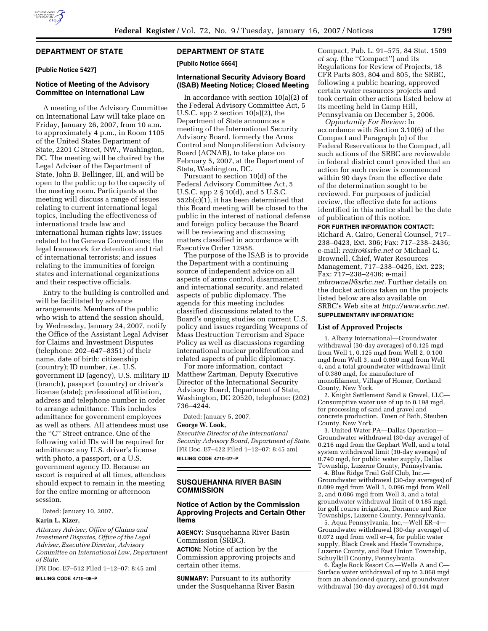## **DEPARTMENT OF STATE**

## **[Public Notice 5427]**

### **Notice of Meeting of the Advisory Committee on International Law**

A meeting of the Advisory Committee on International Law will take place on Friday, January 26, 2007, from 10 a.m. to approximately 4 p.m., in Room 1105 of the United States Department of State, 2201 C Street, NW., Washington, DC. The meeting will be chaired by the Legal Adviser of the Department of State, John B. Bellinger, III, and will be open to the public up to the capacity of the meeting room. Participants at the meeting will discuss a range of issues relating to current international legal topics, including the effectiveness of international trade law and international human rights law; issues related to the Geneva Conventions; the legal framework for detention and trial of international terrorists; and issues relating to the immunities of foreign states and international organizations and their respective officials.

Entry to the building is controlled and will be facilitated by advance arrangements. Members of the public who wish to attend the session should, by Wednesday, January 24, 2007, notify the Office of the Assistant Legal Adviser for Claims and Investment Disputes (telephone: 202–647–8351) of their name, date of birth; citizenship (country); ID number, *i.e.*, U.S. government ID (agency), U.S. military ID (branch), passport (country) or driver's license (state); professional affiliation, address and telephone number in order to arrange admittance. This includes admittance for government employees as well as others. All attendees must use the ''C'' Street entrance. One of the following valid IDs will be required for admittance: any U.S. driver's license with photo, a passport, or a U.S. government agency ID. Because an escort is required at all times, attendees should expect to remain in the meeting for the entire morning or afternoon session.

Dated: January 10, 2007.

### **Karin L. Kizer,**

*Attorney Adviser, Office of Claims and Investment Disputes, Office of the Legal Adviser, Executive Director, Advisory Committee on International Law, Department of State.* 

[FR Doc. E7–512 Filed 1–12–07; 8:45 am]

**BILLING CODE 4710–08–P** 

# **DEPARTMENT OF STATE**

### **[Public Notice 5664]**

## **International Security Advisory Board (ISAB) Meeting Notice; Closed Meeting**

In accordance with section 10(a)(2) of the Federal Advisory Committee Act, 5 U.S.C. app 2 section 10(a)(2), the Department of State announces a meeting of the International Security Advisory Board, formerly the Arms Control and Nonproliferation Advisory Board (ACNAB), to take place on February 5, 2007, at the Department of State, Washington, DC.

Pursuant to section 10(d) of the Federal Advisory Committee Act, 5 U.S.C. app 2 § 10(d), and 5 U.S.C. 552b(c)(1), it has been determined that this Board meeting will be closed to the public in the interest of national defense and foreign policy because the Board will be reviewing and discussing matters classified in accordance with Executive Order 12958.

The purpose of the ISAB is to provide the Department with a continuing source of independent advice on all aspects of arms control, disarmament and international security, and related aspects of public diplomacy. The agenda for this meeting includes classified discussions related to the Board's ongoing studies on current U.S. policy and issues regarding Weapons of Mass Destruction Terrorism and Space Policy as well as discussions regarding international nuclear proliferation and related aspects of public diplomacy.

For more information, contact Matthew Zartman, Deputy Executive Director of the International Security Advisory Board, Department of State, Washington, DC 20520, telephone: (202) 736–4244.

Dated: January 5, 2007.

### **George W. Look,**

*Executive Director of the International Security Advisory Board, Department of State.*  [FR Doc. E7–422 Filed 1–12–07; 8:45 am] **BILLING CODE 4710–27–P** 

## **SUSQUEHANNA RIVER BASIN COMMISSION**

## **Notice of Action by the Commission Approving Projects and Certain Other Items**

**AGENCY:** Susquehanna River Basin Commission (SRBC).

**ACTION:** Notice of action by the Commission approving projects and certain other items.

**SUMMARY:** Pursuant to its authority under the Susquehanna River Basin

Compact, Pub. L. 91–575, 84 Stat. 1509 *et seq.* (the ''Compact'') and its Regulations for Review of Projects, 18 CFR Parts 803, 804 and 805, the SRBC, following a public hearing, approved certain water resources projects and took certain other actions listed below at its meeting held in Camp Hill, Pennsylvania on December 5, 2006.

*Opportunity For Review:* In accordance with Section 3.10(6) of the Compact and Paragraph (o) of the Federal Reservations to the Compact, all such actions of the SRBC are reviewable in federal district court provided that an action for such review is commenced within 90 days from the effective date of the determination sought to be reviewed. For purposes of judicial review, the effective date for actions identified in this notice shall be the date of publication of this notice.

#### **FOR FURTHER INFORMATION CONTACT:**

Richard A. Cairo, General Counsel, 717– 238–0423, Ext. 306; Fax: 717–238–2436; e-mail: *rcairo@srbc.net* or Michael G. Brownell, Chief, Water Resources Management, 717–238–0425, Ext. 223; Fax: 717–238–2436; e-mail *mbrownell@srbc.net.* Further details on the docket actions taken on the projects listed below are also available on SRBC's Web site at *http://www.srbc.net.*  **SUPPLEMENTARY INFORMATION:** 

### **List of Approved Projects**

1. Albany International—Groundwater withdrawal (30-day averages) of 0.125 mgd from Well 1, 0.125 mgd from Well 2, 0.100 mgd from Well 3, and 0.050 mgd from Well 4, and a total groundwater withdrawal limit of 0.380 mgd, for manufacture of monofilament, Village of Homer, Cortland County, New York.

2. Knight Settlement Sand & Gravel, LLC— Consumptive water use of up to 0.198 mgd, for processing of sand and gravel and concrete production, Town of Bath, Steuben County, New York.

3. United Water PA—Dallas Operation— Groundwater withdrawal (30-day average) of 0.216 mgd from the Gephart Well, and a total system withdrawal limit (30-day average) of 0.740 mgd, for public water supply, Dallas Township, Luzerne County, Pennsylvania.

4. Blue Ridge Trail Golf Club, Inc.— Groundwater withdrawal (30-day averages) of 0.099 mgd from Well 1, 0.096 mgd from Well 2, and 0.086 mgd from Well 3, and a total groundwater withdrawal limit of 0.185 mgd, for golf course irrigation, Dorrance and Rice Townships, Luzerne County, Pennsylvania.

5. Aqua Pennsylvania, Inc,—Well ER–4— Groundwater withdrawal (30-day average) of 0.072 mgd from well er–4, for public water supply, Black Creek and Hazle Townships, Luzerne County, and East Union Township, Schuylkill County, Pennsylvania.

6. Eagle Rock Resort Co.—Wells A and C— Surface water withdrawal of up to 3.068 mgd from an abandoned quarry, and groundwater withdrawal (30-day averages) of 0.144 mgd